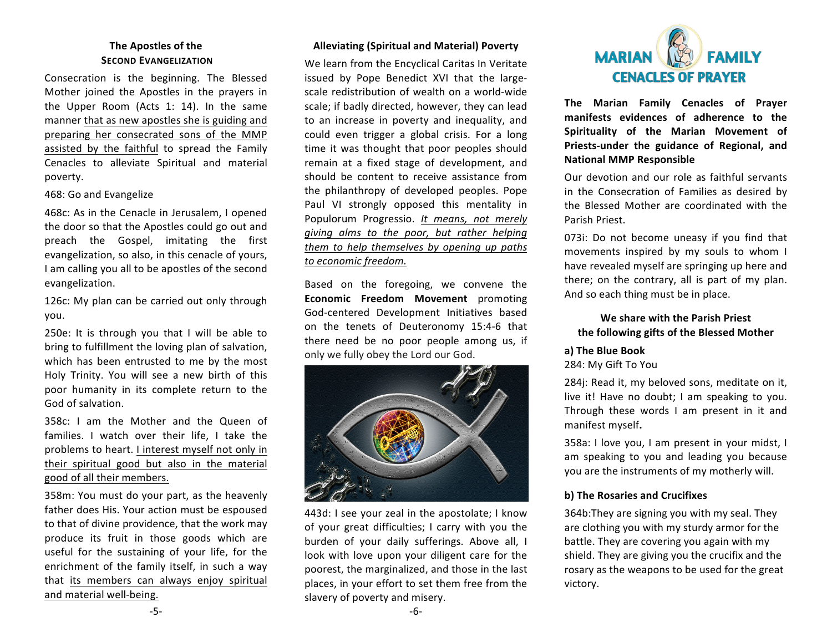# **The Apostles of the SECOND EVANGELIZATION**

Consecration is the beginning. The Blessed Mother joined the Apostles in the prayers in the Upper Room (Acts 1: 14). In the same manner that as new apostles she is guiding and preparing her consecrated sons of the MMP assisted by the faithful to spread the Family Cenacles to alleviate Spiritual and material poverty. 

#### 468: Go and Evangelize

468c: As in the Cenacle in Jerusalem, I opened the door so that the Apostles could go out and preach the Gospel, imitating the first evangelization, so also, in this cenacle of vours. I am calling you all to be apostles of the second evangelization.

126c: My plan can be carried out only through you.

250e: It is through you that I will be able to bring to fulfillment the loving plan of salvation, which has been entrusted to me by the most Holy Trinity. You will see a new birth of this poor humanity in its complete return to the God of salvation.

358c: I am the Mother and the Queen of families. I watch over their life. I take the problems to heart. I interest myself not only in their spiritual good but also in the material good of all their members.

358m: You must do your part, as the heavenly father does His. Your action must be espoused to that of divine providence, that the work may produce its fruit in those goods which are useful for the sustaining of your life, for the enrichment of the family itself, in such a way that its members can always enjoy spiritual and material well-being.

## **Alleviating (Spiritual and Material) Poverty**

We learn from the Encyclical Caritas In Veritate issued by Pope Benedict XVI that the largescale redistribution of wealth on a world-wide scale; if badly directed, however, they can lead to an increase in poverty and inequality, and could even trigger a global crisis. For a long time it was thought that poor peoples should remain at a fixed stage of development, and should be content to receive assistance from the philanthropy of developed peoples. Pope Paul VI strongly opposed this mentality in Populorum Progressio. *It means, not merely giving alms to the poor, but rather helping them to help themselves by opening up paths to economic freedom.*

Based on the foregoing, we convene the **Economic Freedom Movement** promoting God-centered Development Initiatives based on the tenets of Deuteronomy 15:4-6 that there need be no poor people among us, if only we fully obey the Lord our God.



443d: I see your zeal in the apostolate; I know of your great difficulties; I carry with you the burden of your daily sufferings. Above all, I look with love upon your diligent care for the poorest, the marginalized, and those in the last places, in your effort to set them free from the slavery of poverty and misery.



**The Marian Family Cenacles of Prayer** manifests evidences of adherence to the **Spirituality of the Marian Movement of** Priests-under the guidance of Regional, and **National MMP Responsible**

Our devotion and our role as faithful servants in the Consecration of Families as desired by the Blessed Mother are coordinated with the Parish Priest. 

073i: Do not become uneasy if you find that movements inspired by my souls to whom I have revealed myself are springing up here and there; on the contrary, all is part of my plan. And so each thing must be in place.

## We share with the Parish Priest **the following gifts of the Blessed Mother**

#### **a) The Blue Book**

284: My Gift To You

284j: Read it, my beloved sons, meditate on it, live it! Have no doubt; I am speaking to you. Through these words I am present in it and manifest myself**.**

358a: I love you, I am present in your midst, I am speaking to you and leading you because you are the instruments of my motherly will.

### **b)** The Rosaries and Crucifixes

364b: They are signing you with my seal. They are clothing you with my sturdy armor for the battle. They are covering you again with my shield. They are giving you the crucifix and the rosary as the weapons to be used for the great victory.